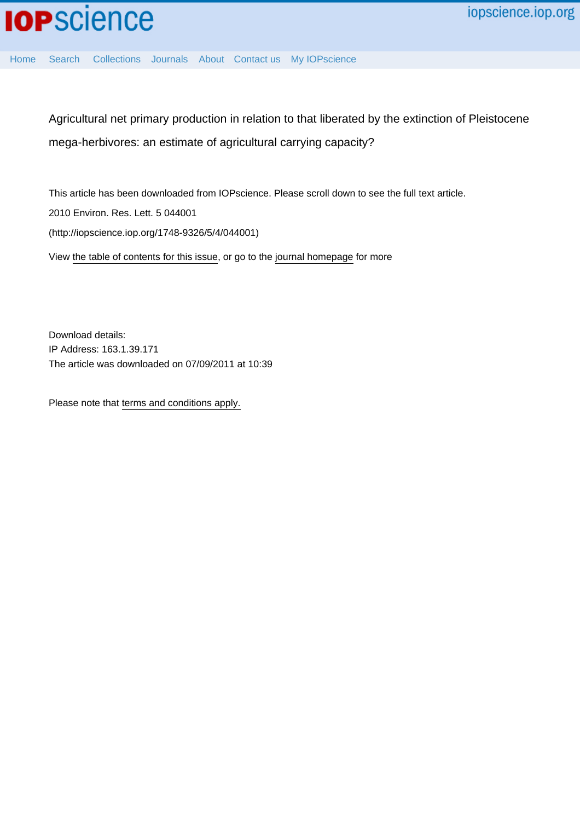Agricultural net primary production in relation to that liberated by the extinction of Pleistocene mega-herbivores: an estimate of agricultural carrying capacity?

This article has been downloaded from IOPscience. Please scroll down to see the full text article.

2010 Environ. Res. Lett. 5 044001

(http://iopscience.iop.org/1748-9326/5/4/044001)

[Home](http://iopscience.iop.org/) [Search](http://iopscience.iop.org/search) [Collections](http://iopscience.iop.org/collections) [Journals](http://iopscience.iop.org/journals) [About](http://iopscience.iop.org/page/aboutioppublishing) [Contact us](http://iopscience.iop.org/contact) [My IOPscience](http://iopscience.iop.org/myiopscience)

View [the table of contents for this issue](http://iopscience.iop.org/1748-9326/5/4), or go to the [journal homepage](http://iopscience.iop.org/1748-9326) for more

Download details: IP Address: 163.1.39.171 The article was downloaded on 07/09/2011 at 10:39

Please note that [terms and conditions apply.](http://iopscience.iop.org/page/terms)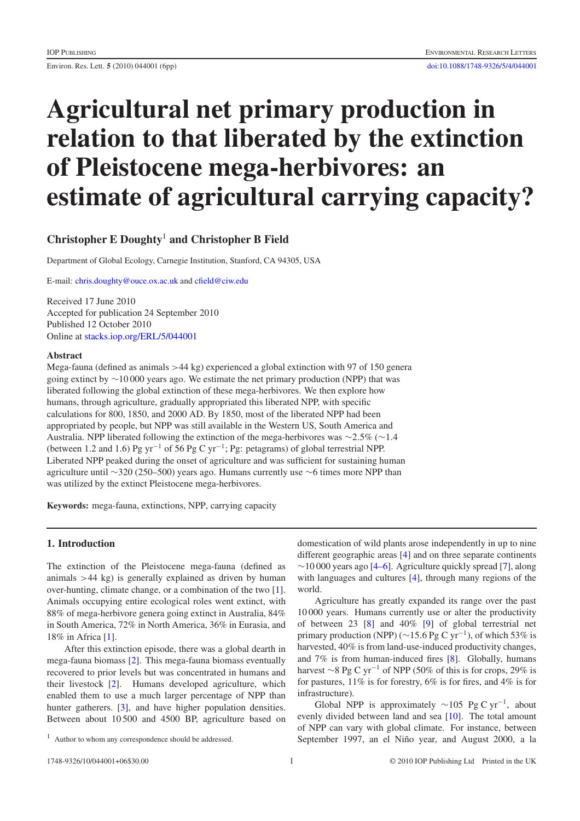Environ. Res. Lett. **5** (2010) 044001 (6pp) [doi:10.1088/1748-9326/5/4/044001](http://dx.doi.org/10.1088/1748-9326/5/4/044001)

# **Agricultural net primary production in relation to that liberated by the extinction of Pleistocene mega-herbivores: an estimate of agricultural carrying capacity?**

# **Christopher E Doughty**<sup>1</sup> **and Christopher B Field**

Department of Global Ecology, Carnegie Institution, Stanford, CA 94305, USA

E-mail: [chris.doughty@ouce.ox.ac.uk](mailto:chris.doughty@ouce.ox.ac.uk) and [cfield@ciw.edu](mailto:cfield@ciw.edu)

Received 17 June 2010 Accepted for publication 24 September 2010 Published 12 October 2010 Online at [stacks.iop.org/ERL/5/044001](http://stacks.iop.org/ERL/5/044001)

# **Abstract**

Mega-fauna (defined as animals *>*44 kg) experienced a global extinction with 97 of 150 genera going extinct by ∼10 000 years ago. We estimate the net primary production (NPP) that was liberated following the global extinction of these mega-herbivores. We then explore how humans, through agriculture, gradually appropriated this liberated NPP, with specific calculations for 800, 1850, and 2000 AD. By 1850, most of the liberated NPP had been appropriated by people, but NPP was still available in the Western US, South America and Australia. NPP liberated following the extinction of the mega-herbivores was ∼2*.*5% (∼1*.*4 (between 1.2 and 1.6) Pg yr<sup>-1</sup> of 56 Pg C yr<sup>-1</sup>; Pg: petagrams) of global terrestrial NPP. Liberated NPP peaked during the onset of agriculture and was sufficient for sustaining human agriculture until ∼320 (250–500) years ago. Humans currently use ∼6 times more NPP than was utilized by the extinct Pleistocene mega-herbivores.

**Keywords:** mega-fauna, extinctions, NPP, carrying capacity

# **1. Introduction**

The extinction of the Pleistocene mega-fauna (defined as animals *>*44 kg) is generally explained as driven by human over-hunting, climate change, or a combination of the two [\[1\]](#page-6-0). Animals occupying entire ecological roles went extinct, with 88% of mega-herbivore genera going extinct in Australia, 84% in South America, 72% in North America, 36% in Eurasia, and 18% in Africa [\[1\]](#page-6-0).

After this extinction episode, there was a global dearth in mega-fauna biomass [\[2\]](#page-6-1). This mega-fauna biomass eventually recovered to prior levels but was concentrated in humans and their livestock [\[2\]](#page-6-1). Humans developed agriculture, which enabled them to use a much larger percentage of NPP than hunter gatherers. [\[3\]](#page-6-2), and have higher population densities. Between about 10 500 and 4500 BP, agriculture based on domestication of wild plants arose independently in up to nine different geographic areas [\[4\]](#page-6-3) and on three separate continents  $\sim$ 10 000 years ago [\[4–6\]](#page-6-3). Agriculture quickly spread [\[7\]](#page-6-4), along with languages and cultures [\[4\]](#page-6-3), through many regions of the world.

Agriculture has greatly expanded its range over the past 10 000 years. Humans currently use or alter the productivity of between 23 [\[8\]](#page-6-5) and 40% [\[9\]](#page-6-6) of global terrestrial net primary production (NPP) (∼15.6 Pg C yr<sup>-1</sup>), of which 53% is harvested, 40% is from land-use-induced productivity changes, and 7% is from human-induced fires [\[8\]](#page-6-5). Globally, humans harvest  $\sim$ 8 Pg C yr<sup>-1</sup> of NPP (50% of this is for crops, 29% is for pastures, 11% is for forestry, 6% is for fires, and 4% is for infrastructure).

Global NPP is approximately  $\sim$ 105 Pg C yr<sup>-1</sup>, about evenly divided between land and sea [\[10\]](#page-6-7). The total amount of NPP can vary with global climate. For instance, between September 1997, an el Niño year, and August 2000, a la

<sup>&</sup>lt;sup>1</sup> Author to whom any correspondence should be addressed.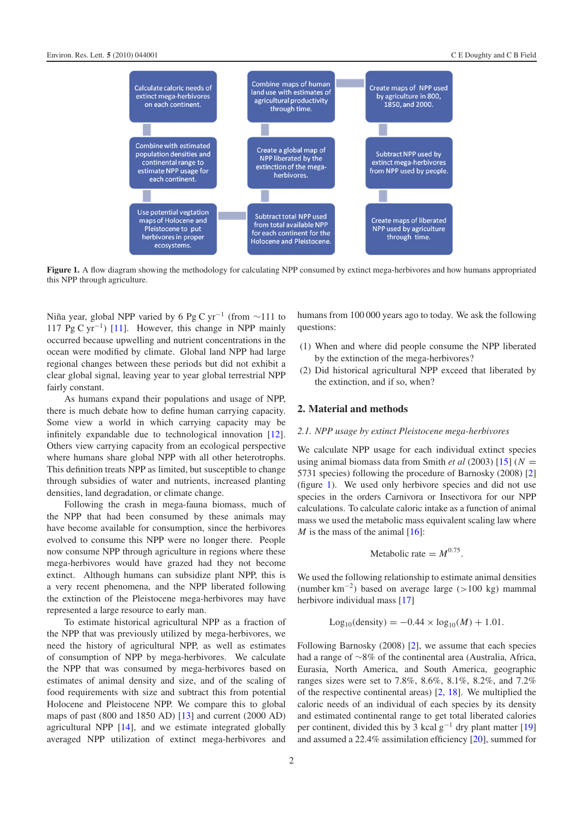<span id="page-2-0"></span>

**Figure 1.** A flow diagram showing the methodology for calculating NPP consumed by extinct mega-herbivores and how humans appropriated this NPP through agriculture.

Niña year, global NPP varied by 6 Pg C yr<sup>-1</sup> (from ~111 to 117 Pg C yr−1) [\[11\]](#page-6-8). However, this change in NPP mainly occurred because upwelling and nutrient concentrations in the ocean were modified by climate. Global land NPP had large regional changes between these periods but did not exhibit a clear global signal, leaving year to year global terrestrial NPP fairly constant.

As humans expand their populations and usage of NPP, there is much debate how to define human carrying capacity. Some view a world in which carrying capacity may be infinitely expandable due to technological innovation [\[12\]](#page-6-9). Others view carrying capacity from an ecological perspective where humans share global NPP with all other heterotrophs. This definition treats NPP as limited, but susceptible to change through subsidies of water and nutrients, increased planting densities, land degradation, or climate change.

Following the crash in mega-fauna biomass, much of the NPP that had been consumed by these animals may have become available for consumption, since the herbivores evolved to consume this NPP were no longer there. People now consume NPP through agriculture in regions where these mega-herbivores would have grazed had they not become extinct. Although humans can subsidize plant NPP, this is a very recent phenomena, and the NPP liberated following the extinction of the Pleistocene mega-herbivores may have represented a large resource to early man.

To estimate historical agricultural NPP as a fraction of the NPP that was previously utilized by mega-herbivores, we need the history of agricultural NPP, as well as estimates of consumption of NPP by mega-herbivores. We calculate the NPP that was consumed by mega-herbivores based on estimates of animal density and size, and of the scaling of food requirements with size and subtract this from potential Holocene and Pleistocene NPP. We compare this to global maps of past (800 and 1850 AD) [\[13\]](#page-6-10) and current (2000 AD) agricultural NPP [\[14\]](#page-6-11), and we estimate integrated globally averaged NPP utilization of extinct mega-herbivores and humans from 100 000 years ago to today. We ask the following questions:

- (1) When and where did people consume the NPP liberated by the extinction of the mega-herbivores?
- (2) Did historical agricultural NPP exceed that liberated by the extinction, and if so, when?

# **2. Material and methods**

## *2.1. NPP usage by extinct Pleistocene mega-herbivores*

We calculate NPP usage for each individual extinct species using animal biomass data from Smith *et al* (2003) [\[15\]](#page-6-12) (*N* = 5731 species) following the procedure of Barnosky (2008) [\[2\]](#page-6-1) (figure [1\)](#page-2-0). We used only herbivore species and did not use species in the orders Carnivora or Insectivora for our NPP calculations. To calculate caloric intake as a function of animal mass we used the metabolic mass equivalent scaling law where *M* is the mass of the animal  $[16]$ :

$$
Metabolic rate = M^{0.75}.
$$

We used the following relationship to estimate animal densities (number km−2) based on average large (*>*100 kg) mammal herbivore individual mass [\[17\]](#page-6-14)

$$
Log_{10}(density) = -0.44 \times log_{10}(M) + 1.01.
$$

Following Barnosky (2008) [\[2\]](#page-6-1), we assume that each species had a range of ∼8% of the continental area (Australia, Africa, Eurasia, North America, and South America, geographic ranges sizes were set to 7.8%, 8.6%, 8.1%, 8.2%, and 7.2% of the respective continental areas) [\[2,](#page-6-1) [18\]](#page-6-15). We multiplied the caloric needs of an individual of each species by its density and estimated continental range to get total liberated calories per continent, divided this by 3 kcal  $g^{-1}$  dry plant matter [\[19\]](#page-6-16) and assumed a 22.4% assimilation efficiency [\[20\]](#page-6-17), summed for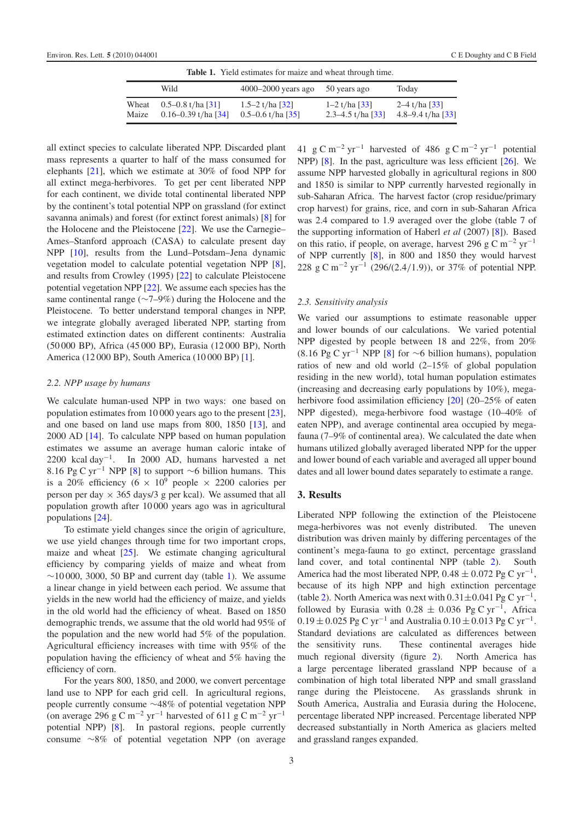<span id="page-3-0"></span>

| <b>Table 1.</b> Yield estimates for maize and wheat through time. |                                                  |                                            |                                                    |                                                    |  |  |  |
|-------------------------------------------------------------------|--------------------------------------------------|--------------------------------------------|----------------------------------------------------|----------------------------------------------------|--|--|--|
|                                                                   | Wild                                             | $4000 - 2000$ years ago                    | 50 years ago                                       | Today                                              |  |  |  |
| Wheat<br>Maize                                                    | $0.5 - 0.8$ t/ha [31]<br>$0.16 - 0.39$ t/ha [34] | 1.5–2 t/ha $[32]$<br>$0.5 - 0.6$ t/ha [35] | $1-2$ t/ha [33]<br>2.3–4.5 t/ha $\lceil 33 \rceil$ | $2-4$ t/ha [33]<br>4.8–9.4 t/ha $\lceil 33 \rceil$ |  |  |  |

all extinct species to calculate liberated NPP. Discarded plant mass represents a quarter to half of the mass consumed for elephants [\[21\]](#page-6-23), which we estimate at 30% of food NPP for all extinct mega-herbivores. To get per cent liberated NPP for each continent, we divide total continental liberated NPP by the continent's total potential NPP on grassland (for extinct savanna animals) and forest (for extinct forest animals) [\[8\]](#page-6-5) for the Holocene and the Pleistocene [\[22\]](#page-6-24). We use the Carnegie– Ames–Stanford approach (CASA) to calculate present day NPP [\[10\]](#page-6-7), results from the Lund–Potsdam–Jena dynamic vegetation model to calculate potential vegetation NPP [\[8\]](#page-6-5), and results from Crowley (1995) [\[22\]](#page-6-24) to calculate Pleistocene potential vegetation NPP [\[22\]](#page-6-24). We assume each species has the same continental range (∼7–9%) during the Holocene and the Pleistocene. To better understand temporal changes in NPP, we integrate globally averaged liberated NPP, starting from estimated extinction dates on different continents: Australia (50 000 BP), Africa (45 000 BP), Eurasia (12 000 BP), North America (12 000 BP), South America (10 000 BP) [\[1\]](#page-6-0).

## *2.2. NPP usage by humans*

We calculate human-used NPP in two ways: one based on population estimates from 10 000 years ago to the present [\[23\]](#page-6-25), and one based on land use maps from 800, 1850 [\[13\]](#page-6-10), and 2000 AD [\[14\]](#page-6-11). To calculate NPP based on human population estimates we assume an average human caloric intake of 2200 kcal day<sup>-1</sup>. In 2000 AD, humans harvested a net 8*.*16 Pg C yr−<sup>1</sup> NPP [\[8\]](#page-6-5) to support ∼6 billion humans. This is a 20% efficiency (6  $\times$  10<sup>9</sup> people  $\times$  2200 calories per person per day  $\times$  365 days/3 g per kcal). We assumed that all population growth after 10 000 years ago was in agricultural populations [\[24\]](#page-6-26).

To estimate yield changes since the origin of agriculture, we use yield changes through time for two important crops, maize and wheat [\[25\]](#page-6-27). We estimate changing agricultural efficiency by comparing yields of maize and wheat from  $~\sim$ 10 000, 3000, 50 BP and current day (table [1\)](#page-3-0). We assume a linear change in yield between each period. We assume that yields in the new world had the efficiency of maize, and yields in the old world had the efficiency of wheat. Based on 1850 demographic trends, we assume that the old world had 95% of the population and the new world had 5% of the population. Agricultural efficiency increases with time with 95% of the population having the efficiency of wheat and 5% having the efficiency of corn.

For the years 800, 1850, and 2000, we convert percentage land use to NPP for each grid cell. In agricultural regions, people currently consume ∼48% of potential vegetation NPP (on average 296 g C m<sup>-2</sup> yr<sup>-1</sup> harvested of 611 g C m<sup>-2</sup> yr<sup>-1</sup> potential NPP) [\[8\]](#page-6-5). In pastoral regions, people currently consume ∼8% of potential vegetation NPP (on average 41 g C m<sup>-2</sup> yr<sup>-1</sup> harvested of 486 g C m<sup>-2</sup> yr<sup>-1</sup> potential NPP) [\[8\]](#page-6-5). In the past, agriculture was less efficient [\[26\]](#page-6-28). We assume NPP harvested globally in agricultural regions in 800 and 1850 is similar to NPP currently harvested regionally in sub-Saharan Africa. The harvest factor (crop residue/primary crop harvest) for grains, rice, and corn in sub-Saharan Africa was 2.4 compared to 1.9 averaged over the globe (table 7 of the supporting information of Haberl *et al* (2007) [\[8\]](#page-6-5)). Based on this ratio, if people, on average, harvest 296 g C m<sup>-2</sup> yr<sup>-1</sup> of NPP currently [\[8\]](#page-6-5), in 800 and 1850 they would harvest 228 g C m−<sup>2</sup> yr−<sup>1</sup> (296/*(*2*.*4*/*1*.*9*)*), or 37% of potential NPP.

#### *2.3. Sensitivity analysis*

We varied our assumptions to estimate reasonable upper and lower bounds of our calculations. We varied potential NPP digested by people between 18 and 22%, from 20% (8.16 Pg C yr<sup>-1</sup> NPP [\[8\]](#page-6-5) for  $\sim$ 6 billion humans), population ratios of new and old world (2–15% of global population residing in the new world), total human population estimates (increasing and decreasing early populations by 10%), mega-herbivore food assimilation efficiency [\[20\]](#page-6-17) (20–25% of eaten NPP digested), mega-herbivore food wastage (10–40% of eaten NPP), and average continental area occupied by megafauna (7–9% of continental area). We calculated the date when humans utilized globally averaged liberated NPP for the upper and lower bound of each variable and averaged all upper bound dates and all lower bound dates separately to estimate a range.

# **3. Results**

Liberated NPP following the extinction of the Pleistocene mega-herbivores was not evenly distributed. The uneven distribution was driven mainly by differing percentages of the continent's mega-fauna to go extinct, percentage grassland land cover, and total continental NPP (table [2\)](#page-4-0). South America had the most liberated NPP,  $0.48 \pm 0.072$  Pg C yr<sup>-1</sup>, because of its high NPP and high extinction percentage (table [2\)](#page-4-0). North America was next with 0*.*31±0*.*041 Pg C yr−1, followed by Eurasia with  $0.28 \pm 0.036$  Pg C yr<sup>-1</sup>, Africa  $0.19 \pm 0.025$  Pg C yr<sup>-1</sup> and Australia  $0.10 \pm 0.013$  Pg C yr<sup>-1</sup>. Standard deviations are calculated as differences between the sensitivity runs. These continental averages hide much regional diversity (figure [2\)](#page-4-1). North America has a large percentage liberated grassland NPP because of a combination of high total liberated NPP and small grassland range during the Pleistocene. As grasslands shrunk in South America, Australia and Eurasia during the Holocene, percentage liberated NPP increased. Percentage liberated NPP decreased substantially in North America as glaciers melted and grassland ranges expanded.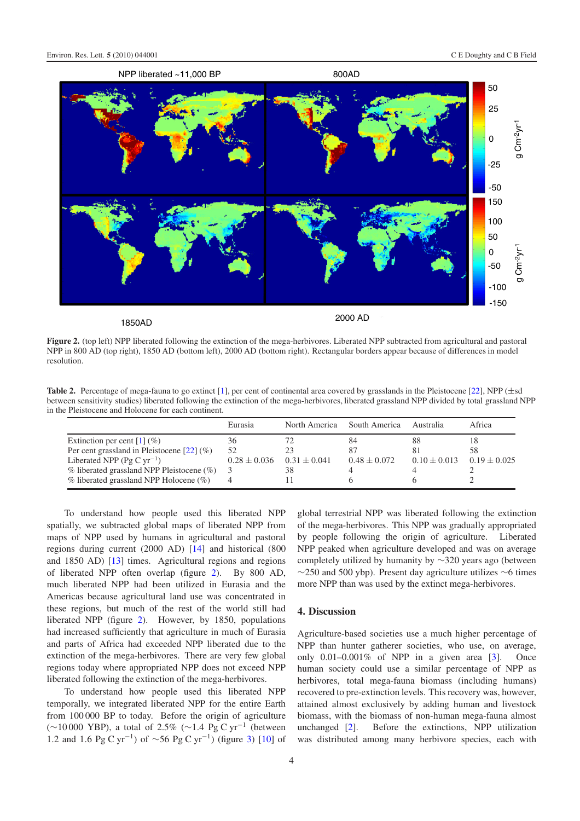<span id="page-4-1"></span>

<span id="page-4-0"></span>**Figure 2.** (top left) NPP liberated following the extinction of the mega-herbivores. Liberated NPP subtracted from agricultural and pastoral NPP in 800 AD (top right), 1850 AD (bottom left), 2000 AD (bottom right). Rectangular borders appear because of differences in model resolution.

Table 2. Percentage of mega-fauna to go extinct [\[1\]](#page-6-0), per cent of continental area covered by grasslands in the Pleistocene [\[22\]](#page-6-24), NPP ( $\pm$ sd between sensitivity studies) liberated following the extinction of the mega-herbivores, liberated grassland NPP divided by total grassland NPP in the Pleistocene and Holocene for each continent.

|                                                   | Eurasia          | North America    | South America    | Australia        | Africa           |
|---------------------------------------------------|------------------|------------------|------------------|------------------|------------------|
| Extinction per cent $[1]$ (%)                     | 36               |                  | 84               | 88               |                  |
| Per cent grassland in Pleistocene $[22]$ (%)      | 52               |                  | -87              | 81               | 58               |
| Liberated NPP (Pg C $yr^{-1}$ )                   | $0.28 \pm 0.036$ | $0.31 \pm 0.041$ | $0.48 \pm 0.072$ | $0.10 \pm 0.013$ | $0.19 \pm 0.025$ |
| $\%$ liberated grassland NPP Pleistocene ( $\%$ ) |                  | 38               |                  |                  |                  |
| $\%$ liberated grassland NPP Holocene ( $\%$ )    |                  |                  |                  |                  |                  |

To understand how people used this liberated NPP spatially, we subtracted global maps of liberated NPP from maps of NPP used by humans in agricultural and pastoral regions during current (2000 AD) [\[14\]](#page-6-11) and historical (800 and 1850 AD) [\[13\]](#page-6-10) times. Agricultural regions and regions of liberated NPP often overlap (figure [2\)](#page-4-1). By 800 AD, much liberated NPP had been utilized in Eurasia and the Americas because agricultural land use was concentrated in these regions, but much of the rest of the world still had liberated NPP (figure [2\)](#page-4-1). However, by 1850, populations had increased sufficiently that agriculture in much of Eurasia and parts of Africa had exceeded NPP liberated due to the extinction of the mega-herbivores. There are very few global regions today where appropriated NPP does not exceed NPP liberated following the extinction of the mega-herbivores.

To understand how people used this liberated NPP temporally, we integrated liberated NPP for the entire Earth from 100 000 BP to today. Before the origin of agriculture (∼10 000 YBP), a total of 2.5% (∼1*.*4 Pg C yr−<sup>1</sup> (between 1.2 and 1.6 Pg C yr<sup>-1</sup>) of ∼56 Pg C yr<sup>-1</sup>) (figure [3\)](#page-5-0) [\[10\]](#page-6-7) of

global terrestrial NPP was liberated following the extinction of the mega-herbivores. This NPP was gradually appropriated by people following the origin of agriculture. Liberated NPP peaked when agriculture developed and was on average completely utilized by humanity by ∼320 years ago (between  $\sim$ 250 and 500 ybp). Present day agriculture utilizes  $\sim$ 6 times more NPP than was used by the extinct mega-herbivores.

## **4. Discussion**

Agriculture-based societies use a much higher percentage of NPP than hunter gatherer societies, who use, on average, only  $0.01-0.001\%$  of NPP in a given area  $[3]$ . Once human society could use a similar percentage of NPP as herbivores, total mega-fauna biomass (including humans) recovered to pre-extinction levels. This recovery was, however, attained almost exclusively by adding human and livestock biomass, with the biomass of non-human mega-fauna almost unchanged [\[2\]](#page-6-1). Before the extinctions, NPP utilization was distributed among many herbivore species, each with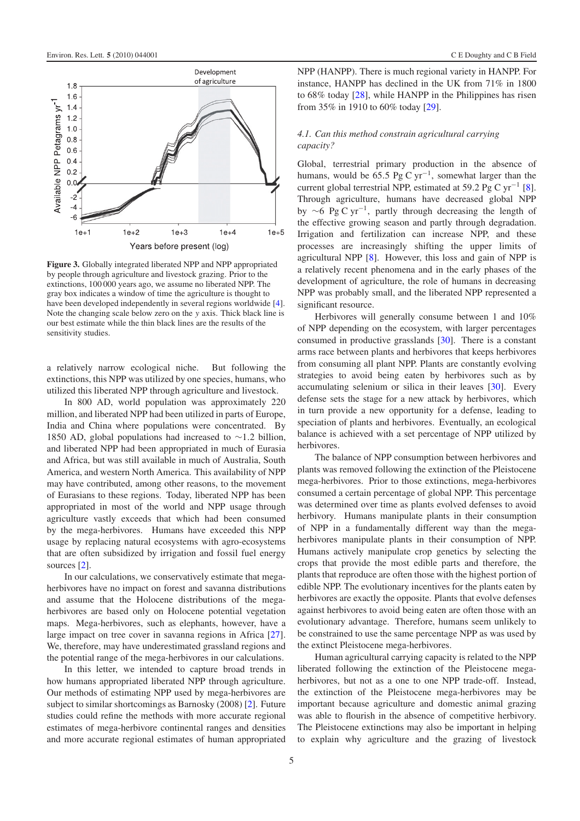<span id="page-5-0"></span>

**Figure 3.** Globally integrated liberated NPP and NPP appropriated by people through agriculture and livestock grazing. Prior to the extinctions, 100 000 years ago, we assume no liberated NPP. The gray box indicates a window of time the agriculture is thought to have been developed independently in several regions worldwide [\[4\]](#page-6-3). Note the changing scale below zero on the *y* axis. Thick black line is our best estimate while the thin black lines are the results of the sensitivity studies.

a relatively narrow ecological niche. But following the extinctions, this NPP was utilized by one species, humans, who utilized this liberated NPP through agriculture and livestock.

In 800 AD, world population was approximately 220 million, and liberated NPP had been utilized in parts of Europe, India and China where populations were concentrated. By 1850 AD, global populations had increased to ∼1*.*2 billion, and liberated NPP had been appropriated in much of Eurasia and Africa, but was still available in much of Australia, South America, and western North America. This availability of NPP may have contributed, among other reasons, to the movement of Eurasians to these regions. Today, liberated NPP has been appropriated in most of the world and NPP usage through agriculture vastly exceeds that which had been consumed by the mega-herbivores. Humans have exceeded this NPP usage by replacing natural ecosystems with agro-ecosystems that are often subsidized by irrigation and fossil fuel energy sources [\[2\]](#page-6-1).

In our calculations, we conservatively estimate that megaherbivores have no impact on forest and savanna distributions and assume that the Holocene distributions of the megaherbivores are based only on Holocene potential vegetation maps. Mega-herbivores, such as elephants, however, have a large impact on tree cover in savanna regions in Africa [\[27\]](#page-6-29). We, therefore, may have underestimated grassland regions and the potential range of the mega-herbivores in our calculations.

In this letter, we intended to capture broad trends in how humans appropriated liberated NPP through agriculture. Our methods of estimating NPP used by mega-herbivores are subject to similar shortcomings as Barnosky (2008) [\[2\]](#page-6-1). Future studies could refine the methods with more accurate regional estimates of mega-herbivore continental ranges and densities and more accurate regional estimates of human appropriated NPP (HANPP). There is much regional variety in HANPP. For instance, HANPP has declined in the UK from 71% in 1800 to 68% today [\[28\]](#page-6-30), while HANPP in the Philippines has risen from 35% in 1910 to 60% today [\[29\]](#page-6-31).

# *4.1. Can this method constrain agricultural carrying capacity?*

Global, terrestrial primary production in the absence of humans, would be 65*.*5 Pg C yr−1, somewhat larger than the current global terrestrial NPP, estimated at 59*.*2 Pg C yr−<sup>1</sup> [\[8\]](#page-6-5). Through agriculture, humans have decreased global NPP by  $\sim$ 6 Pg C yr<sup>-1</sup>, partly through decreasing the length of the effective growing season and partly through degradation. Irrigation and fertilization can increase NPP, and these processes are increasingly shifting the upper limits of agricultural NPP [\[8\]](#page-6-5). However, this loss and gain of NPP is a relatively recent phenomena and in the early phases of the development of agriculture, the role of humans in decreasing NPP was probably small, and the liberated NPP represented a significant resource.

Herbivores will generally consume between 1 and 10% of NPP depending on the ecosystem, with larger percentages consumed in productive grasslands [\[30\]](#page-6-32). There is a constant arms race between plants and herbivores that keeps herbivores from consuming all plant NPP. Plants are constantly evolving strategies to avoid being eaten by herbivores such as by accumulating selenium or silica in their leaves [\[30\]](#page-6-32). Every defense sets the stage for a new attack by herbivores, which in turn provide a new opportunity for a defense, leading to speciation of plants and herbivores. Eventually, an ecological balance is achieved with a set percentage of NPP utilized by herbivores.

The balance of NPP consumption between herbivores and plants was removed following the extinction of the Pleistocene mega-herbivores. Prior to those extinctions, mega-herbivores consumed a certain percentage of global NPP. This percentage was determined over time as plants evolved defenses to avoid herbivory. Humans manipulate plants in their consumption of NPP in a fundamentally different way than the megaherbivores manipulate plants in their consumption of NPP. Humans actively manipulate crop genetics by selecting the crops that provide the most edible parts and therefore, the plants that reproduce are often those with the highest portion of edible NPP. The evolutionary incentives for the plants eaten by herbivores are exactly the opposite. Plants that evolve defenses against herbivores to avoid being eaten are often those with an evolutionary advantage. Therefore, humans seem unlikely to be constrained to use the same percentage NPP as was used by the extinct Pleistocene mega-herbivores.

Human agricultural carrying capacity is related to the NPP liberated following the extinction of the Pleistocene megaherbivores, but not as a one to one NPP trade-off. Instead, the extinction of the Pleistocene mega-herbivores may be important because agriculture and domestic animal grazing was able to flourish in the absence of competitive herbivory. The Pleistocene extinctions may also be important in helping to explain why agriculture and the grazing of livestock